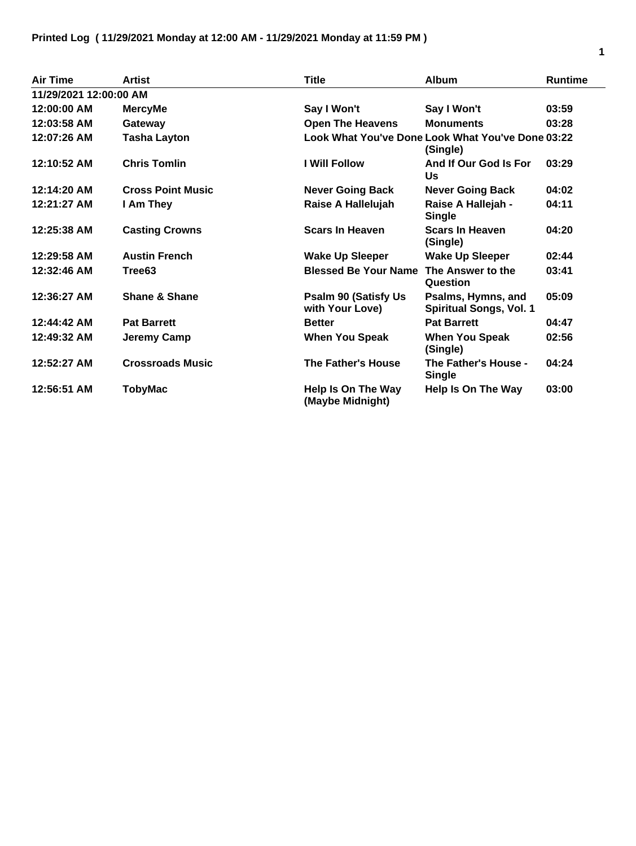| Air Time               | <b>Artist</b>            | <b>Title</b>                                    | <b>Album</b>                                                  | <b>Runtime</b> |
|------------------------|--------------------------|-------------------------------------------------|---------------------------------------------------------------|----------------|
| 11/29/2021 12:00:00 AM |                          |                                                 |                                                               |                |
| 12:00:00 AM            | <b>MercyMe</b>           | Say I Won't                                     | Say I Won't                                                   | 03:59          |
| 12:03:58 AM            | Gateway                  | <b>Open The Heavens</b>                         | <b>Monuments</b>                                              | 03:28          |
| 12:07:26 AM            | <b>Tasha Layton</b>      |                                                 | Look What You've Done Look What You've Done 03:22<br>(Single) |                |
| 12:10:52 AM            | <b>Chris Tomlin</b>      | <b>I Will Follow</b>                            | And If Our God Is For<br>Us                                   | 03:29          |
| 12:14:20 AM            | <b>Cross Point Music</b> | <b>Never Going Back</b>                         | <b>Never Going Back</b>                                       | 04:02          |
| 12:21:27 AM            | I Am They                | Raise A Hallelujah                              | Raise A Hallejah -<br>Single                                  | 04:11          |
| 12:25:38 AM            | <b>Casting Crowns</b>    | <b>Scars In Heaven</b>                          | <b>Scars In Heaven</b><br>(Single)                            | 04:20          |
| 12:29:58 AM            | <b>Austin French</b>     | <b>Wake Up Sleeper</b>                          | <b>Wake Up Sleeper</b>                                        | 02:44          |
| 12:32:46 AM            | Tree <sub>63</sub>       | <b>Blessed Be Your Name</b>                     | The Answer to the<br>Question                                 | 03:41          |
| 12:36:27 AM            | Shane & Shane            | <b>Psalm 90 (Satisfy Us)</b><br>with Your Love) | Psalms, Hymns, and<br><b>Spiritual Songs, Vol. 1</b>          | 05:09          |
| 12:44:42 AM            | <b>Pat Barrett</b>       | <b>Better</b>                                   | <b>Pat Barrett</b>                                            | 04:47          |
| 12:49:32 AM            | Jeremy Camp              | <b>When You Speak</b>                           | <b>When You Speak</b><br>(Single)                             | 02:56          |
| 12:52:27 AM            | <b>Crossroads Music</b>  | The Father's House                              | The Father's House -<br><b>Single</b>                         | 04:24          |
| 12:56:51 AM            | TobyMac                  | Help Is On The Way<br>(Maybe Midnight)          | Help Is On The Way                                            | 03:00          |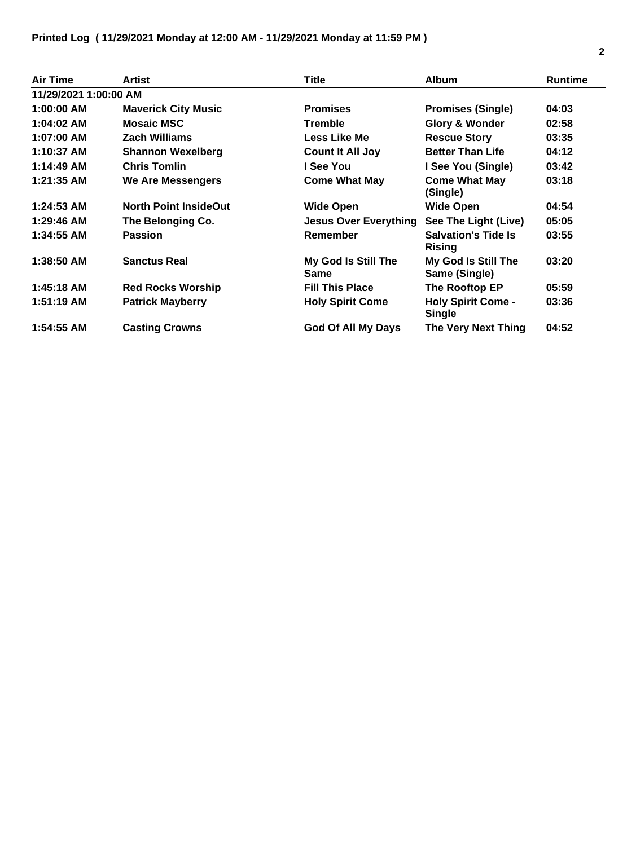| <b>Air Time</b>       | <b>Artist</b>                | Title                              | <b>Album</b>                                | <b>Runtime</b> |
|-----------------------|------------------------------|------------------------------------|---------------------------------------------|----------------|
| 11/29/2021 1:00:00 AM |                              |                                    |                                             |                |
| $1:00:00$ AM          | <b>Maverick City Music</b>   | <b>Promises</b>                    | <b>Promises (Single)</b>                    | 04:03          |
| $1:04:02$ AM          | <b>Mosaic MSC</b>            | <b>Tremble</b>                     | <b>Glory &amp; Wonder</b>                   | 02:58          |
| 1:07:00 AM            | <b>Zach Williams</b>         | Less Like Me                       | <b>Rescue Story</b>                         | 03:35          |
| 1:10:37 AM            | <b>Shannon Wexelberg</b>     | <b>Count It All Joy</b>            | <b>Better Than Life</b>                     | 04:12          |
| 1:14:49 AM            | <b>Chris Tomlin</b>          | I See You                          | I See You (Single)                          | 03:42          |
| 1:21:35 AM            | We Are Messengers            | <b>Come What May</b>               | <b>Come What May</b><br>(Single)            | 03:18          |
| $1:24:53$ AM          | <b>North Point InsideOut</b> | <b>Wide Open</b>                   | <b>Wide Open</b>                            | 04:54          |
| $1:29:46$ AM          | The Belonging Co.            | <b>Jesus Over Everything</b>       | See The Light (Live)                        | 05:05          |
| 1:34:55 AM            | <b>Passion</b>               | Remember                           | <b>Salvation's Tide Is</b><br><b>Rising</b> | 03:55          |
| 1:38:50 AM            | <b>Sanctus Real</b>          | My God Is Still The<br><b>Same</b> | My God Is Still The<br>Same (Single)        | 03:20          |
| 1:45:18 AM            | <b>Red Rocks Worship</b>     | <b>Fill This Place</b>             | The Rooftop EP                              | 05:59          |
| 1:51:19 AM            | <b>Patrick Mayberry</b>      | <b>Holy Spirit Come</b>            | <b>Holy Spirit Come -</b><br><b>Single</b>  | 03:36          |
| 1:54:55 AM            | <b>Casting Crowns</b>        | <b>God Of All My Days</b>          | The Very Next Thing                         | 04:52          |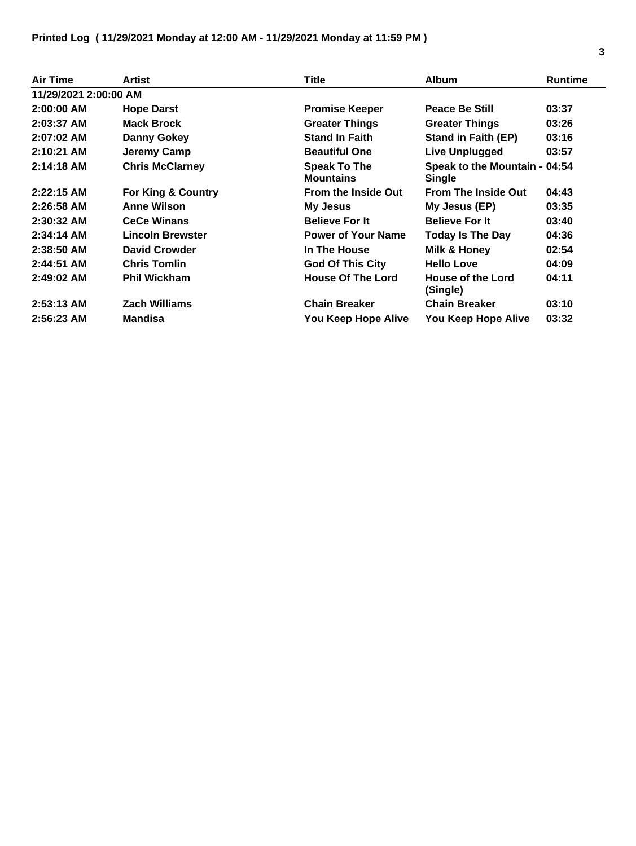| <b>Air Time</b>       | <b>Artist</b>           | Title                                   | <b>Album</b>                                   | <b>Runtime</b> |
|-----------------------|-------------------------|-----------------------------------------|------------------------------------------------|----------------|
| 11/29/2021 2:00:00 AM |                         |                                         |                                                |                |
| $2:00:00$ AM          | <b>Hope Darst</b>       | <b>Promise Keeper</b>                   | <b>Peace Be Still</b>                          | 03:37          |
| $2:03:37$ AM          | <b>Mack Brock</b>       | <b>Greater Things</b>                   | <b>Greater Things</b>                          | 03:26          |
| $2:07:02$ AM          | <b>Danny Gokey</b>      | <b>Stand In Faith</b>                   | <b>Stand in Faith (EP)</b>                     | 03:16          |
| $2:10:21$ AM          | Jeremy Camp             | <b>Beautiful One</b>                    | <b>Live Unplugged</b>                          | 03:57          |
| $2:14:18$ AM          | <b>Chris McClarney</b>  | <b>Speak To The</b><br><b>Mountains</b> | Speak to the Mountain - 04:54<br><b>Single</b> |                |
| $2:22:15$ AM          | For King & Country      | <b>From the Inside Out</b>              | <b>From The Inside Out</b>                     | 04:43          |
| 2:26:58 AM            | <b>Anne Wilson</b>      | My Jesus                                | My Jesus (EP)                                  | 03:35          |
| 2:30:32 AM            | <b>CeCe Winans</b>      | <b>Believe For It</b>                   | <b>Believe For It</b>                          | 03:40          |
| $2:34:14$ AM          | <b>Lincoln Brewster</b> | <b>Power of Your Name</b>               | <b>Today Is The Day</b>                        | 04:36          |
| $2:38:50$ AM          | <b>David Crowder</b>    | In The House                            | Milk & Honey                                   | 02:54          |
| $2:44:51$ AM          | <b>Chris Tomlin</b>     | <b>God Of This City</b>                 | <b>Hello Love</b>                              | 04:09          |
| $2:49:02$ AM          | <b>Phil Wickham</b>     | <b>House Of The Lord</b>                | House of the Lord<br>(Single)                  | 04:11          |
| $2:53:13$ AM          | <b>Zach Williams</b>    | <b>Chain Breaker</b>                    | <b>Chain Breaker</b>                           | 03:10          |
| 2:56:23 AM            | <b>Mandisa</b>          | You Keep Hope Alive                     | You Keep Hope Alive                            | 03:32          |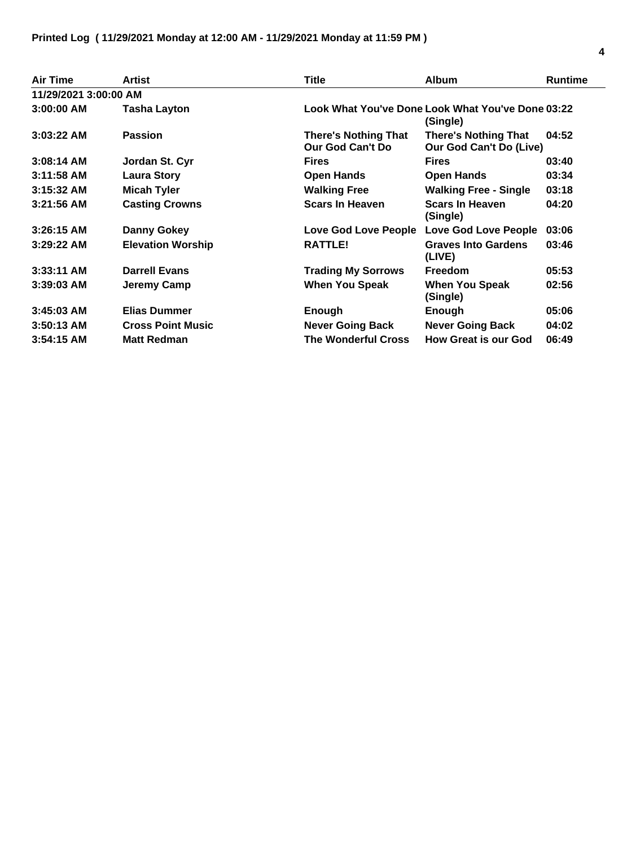| <b>Air Time</b>       | <b>Artist</b>            | Title                                           | <b>Album</b>                                                  | <b>Runtime</b> |
|-----------------------|--------------------------|-------------------------------------------------|---------------------------------------------------------------|----------------|
| 11/29/2021 3:00:00 AM |                          |                                                 |                                                               |                |
| $3:00:00$ AM          | Tasha Layton             |                                                 | Look What You've Done Look What You've Done 03:22<br>(Single) |                |
| $3:03:22$ AM          | <b>Passion</b>           | <b>There's Nothing That</b><br>Our God Can't Do | <b>There's Nothing That</b><br>Our God Can't Do (Live)        | 04:52          |
| $3:08:14$ AM          | Jordan St. Cyr           | <b>Fires</b>                                    | <b>Fires</b>                                                  | 03:40          |
| $3:11:58$ AM          | <b>Laura Story</b>       | <b>Open Hands</b>                               | <b>Open Hands</b>                                             | 03:34          |
| $3:15:32$ AM          | <b>Micah Tyler</b>       | <b>Walking Free</b>                             | <b>Walking Free - Single</b>                                  | 03:18          |
| $3:21:56$ AM          | <b>Casting Crowns</b>    | <b>Scars In Heaven</b>                          | <b>Scars In Heaven</b><br>(Single)                            | 04:20          |
| $3:26:15$ AM          | <b>Danny Gokey</b>       | Love God Love People                            | <b>Love God Love People</b>                                   | 03:06          |
| $3:29:22$ AM          | <b>Elevation Worship</b> | RATTLE!                                         | <b>Graves Into Gardens</b><br>(LIVE)                          | 03:46          |
| $3:33:11$ AM          | <b>Darrell Evans</b>     | <b>Trading My Sorrows</b>                       | <b>Freedom</b>                                                | 05:53          |
| $3:39:03$ AM          | Jeremy Camp              | When You Speak                                  | When You Speak<br>(Single)                                    | 02:56          |
| $3:45:03$ AM          | <b>Elias Dummer</b>      | Enough                                          | Enough                                                        | 05:06          |
| $3:50:13$ AM          | <b>Cross Point Music</b> | <b>Never Going Back</b>                         | <b>Never Going Back</b>                                       | 04:02          |
| $3:54:15$ AM          | <b>Matt Redman</b>       | <b>The Wonderful Cross</b>                      | <b>How Great is our God</b>                                   | 06:49          |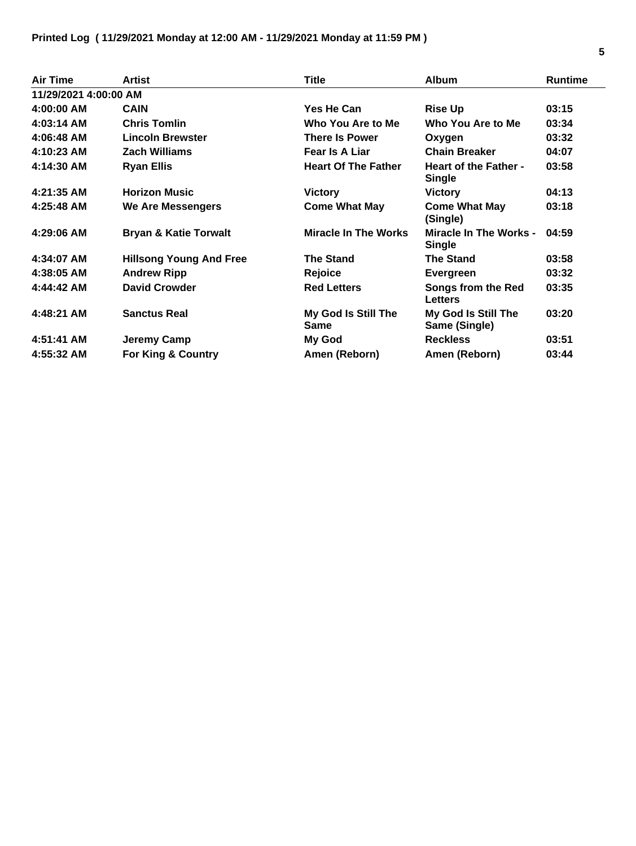| <b>Air Time</b>       | <b>Artist</b>                    | Title                              | <b>Album</b>                                   | <b>Runtime</b> |
|-----------------------|----------------------------------|------------------------------------|------------------------------------------------|----------------|
| 11/29/2021 4:00:00 AM |                                  |                                    |                                                |                |
| $4:00:00$ AM          | <b>CAIN</b>                      | Yes He Can                         | <b>Rise Up</b>                                 | 03:15          |
| $4:03:14$ AM          | <b>Chris Tomlin</b>              | Who You Are to Me                  | Who You Are to Me                              | 03:34          |
| 4:06:48 AM            | <b>Lincoln Brewster</b>          | <b>There Is Power</b>              | Oxygen                                         | 03:32          |
| 4:10:23 AM            | <b>Zach Williams</b>             | <b>Fear Is A Liar</b>              | <b>Chain Breaker</b>                           | 04:07          |
| 4:14:30 AM            | <b>Ryan Ellis</b>                | <b>Heart Of The Father</b>         | <b>Heart of the Father -</b><br><b>Single</b>  | 03:58          |
| 4:21:35 AM            | <b>Horizon Music</b>             | <b>Victory</b>                     | <b>Victory</b>                                 | 04:13          |
| 4:25:48 AM            | <b>We Are Messengers</b>         | <b>Come What May</b>               | <b>Come What May</b><br>(Single)               | 03:18          |
| 4:29:06 AM            | <b>Bryan &amp; Katie Torwalt</b> | <b>Miracle In The Works</b>        | <b>Miracle In The Works -</b><br><b>Single</b> | 04:59          |
| 4:34:07 AM            | <b>Hillsong Young And Free</b>   | <b>The Stand</b>                   | <b>The Stand</b>                               | 03:58          |
| 4:38:05 AM            | <b>Andrew Ripp</b>               | Rejoice                            | Evergreen                                      | 03:32          |
| 4:44:42 AM            | <b>David Crowder</b>             | <b>Red Letters</b>                 | Songs from the Red<br><b>Letters</b>           | 03:35          |
| 4:48:21 AM            | <b>Sanctus Real</b>              | My God Is Still The<br><b>Same</b> | My God Is Still The<br>Same (Single)           | 03:20          |
| 4:51:41 AM            | <b>Jeremy Camp</b>               | My God                             | <b>Reckless</b>                                | 03:51          |
| 4:55:32 AM            | <b>For King &amp; Country</b>    | Amen (Reborn)                      | Amen (Reborn)                                  | 03:44          |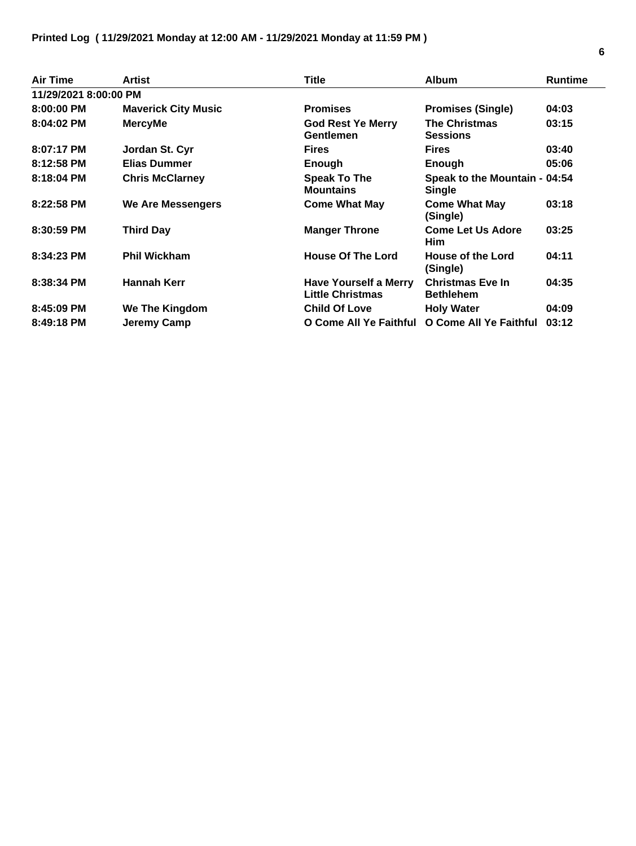| <b>Air Time</b>       | Artist                     | <b>Title</b>                                            | <b>Album</b>                                   | <b>Runtime</b> |
|-----------------------|----------------------------|---------------------------------------------------------|------------------------------------------------|----------------|
| 11/29/2021 8:00:00 PM |                            |                                                         |                                                |                |
| 8:00:00 PM            | <b>Maverick City Music</b> | <b>Promises</b>                                         | <b>Promises (Single)</b>                       | 04:03          |
| 8:04:02 PM            | <b>MercyMe</b>             | <b>God Rest Ye Merry</b><br><b>Gentlemen</b>            | <b>The Christmas</b><br><b>Sessions</b>        | 03:15          |
| 8:07:17 PM            | Jordan St. Cyr             | <b>Fires</b>                                            | <b>Fires</b>                                   | 03:40          |
| 8:12:58 PM            | <b>Elias Dummer</b>        | Enough                                                  | Enough                                         | 05:06          |
| 8:18:04 PM            | <b>Chris McClarney</b>     | <b>Speak To The</b><br><b>Mountains</b>                 | Speak to the Mountain - 04:54<br><b>Single</b> |                |
| 8:22:58 PM            | We Are Messengers          | <b>Come What May</b>                                    | <b>Come What May</b><br>(Single)               | 03:18          |
| 8:30:59 PM            | <b>Third Day</b>           | <b>Manger Throne</b>                                    | <b>Come Let Us Adore</b><br><b>Him</b>         | 03:25          |
| 8:34:23 PM            | <b>Phil Wickham</b>        | <b>House Of The Lord</b>                                | House of the Lord<br>(Single)                  | 04:11          |
| 8:38:34 PM            | <b>Hannah Kerr</b>         | <b>Have Yourself a Merry</b><br><b>Little Christmas</b> | <b>Christmas Eve In</b><br><b>Bethlehem</b>    | 04:35          |
| 8:45:09 PM            | We The Kingdom             | <b>Child Of Love</b>                                    | <b>Holy Water</b>                              | 04:09          |
| 8:49:18 PM            | Jeremy Camp                | O Come All Ye Faithful                                  | O Come All Ye Faithful                         | 03:12          |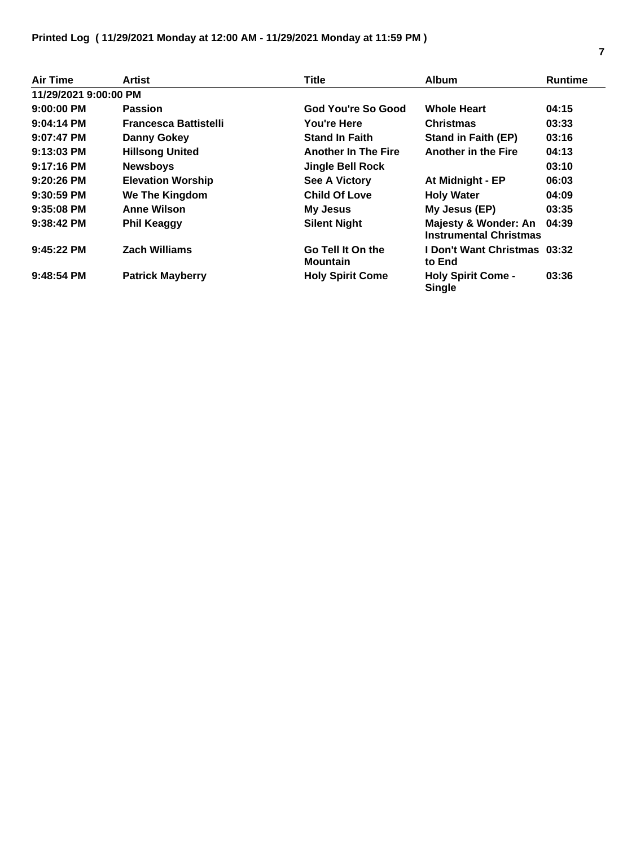## **Printed Log ( 11/29/2021 Monday at 12:00 AM - 11/29/2021 Monday at 11:59 PM )**

| <b>Air Time</b>       | Artist                       | <b>Title</b>                         | <b>Album</b>                                          | <b>Runtime</b> |
|-----------------------|------------------------------|--------------------------------------|-------------------------------------------------------|----------------|
| 11/29/2021 9:00:00 PM |                              |                                      |                                                       |                |
| $9:00:00$ PM          | <b>Passion</b>               | God You're So Good                   | <b>Whole Heart</b>                                    | 04:15          |
| $9:04:14$ PM          | <b>Francesca Battistelli</b> | You're Here                          | <b>Christmas</b>                                      | 03:33          |
| $9:07:47$ PM          | <b>Danny Gokey</b>           | <b>Stand In Faith</b>                | <b>Stand in Faith (EP)</b>                            | 03:16          |
| $9:13:03$ PM          | <b>Hillsong United</b>       | <b>Another In The Fire</b>           | <b>Another in the Fire</b>                            | 04:13          |
| $9:17:16$ PM          | <b>Newsboys</b>              | <b>Jingle Bell Rock</b>              |                                                       | 03:10          |
| $9:20:26$ PM          | <b>Elevation Worship</b>     | <b>See A Victory</b>                 | At Midnight - EP                                      | 06:03          |
| $9:30:59$ PM          | We The Kingdom               | <b>Child Of Love</b>                 | <b>Holy Water</b>                                     | 04:09          |
| $9:35:08$ PM          | <b>Anne Wilson</b>           | <b>My Jesus</b>                      | My Jesus (EP)                                         | 03:35          |
| $9:38:42$ PM          | <b>Phil Keaggy</b>           | <b>Silent Night</b>                  | Majesty & Wonder: An<br><b>Instrumental Christmas</b> | 04:39          |
| $9:45:22$ PM          | <b>Zach Williams</b>         | Go Tell It On the<br><b>Mountain</b> | <b>I Don't Want Christmas 03:32</b><br>to End         |                |
| $9:48:54$ PM          | <b>Patrick Mayberry</b>      | <b>Holy Spirit Come</b>              | <b>Holy Spirit Come -</b><br><b>Single</b>            | 03:36          |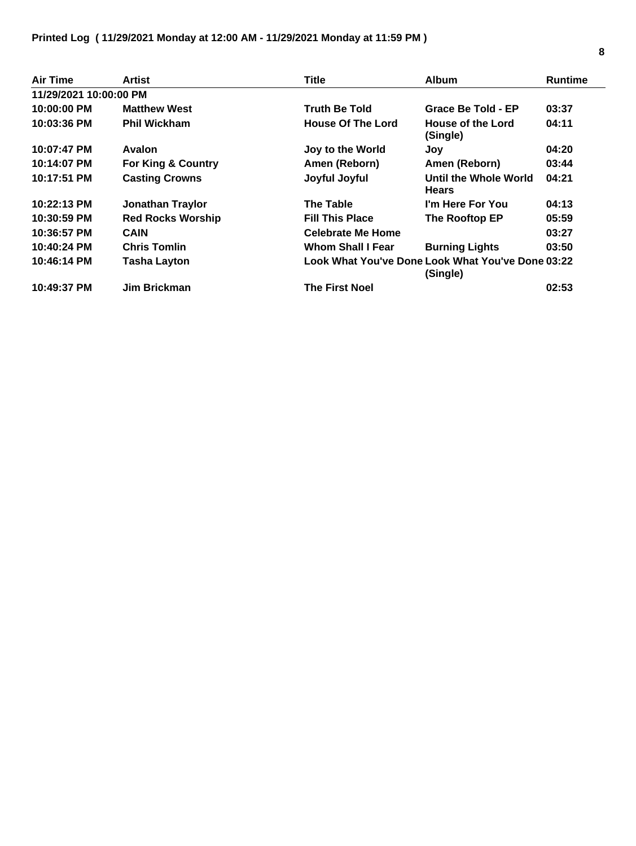| Air Time               | Artist                        | <b>Title</b>             | <b>Album</b>                                                  | <b>Runtime</b> |
|------------------------|-------------------------------|--------------------------|---------------------------------------------------------------|----------------|
| 11/29/2021 10:00:00 PM |                               |                          |                                                               |                |
| 10:00:00 PM            | <b>Matthew West</b>           | <b>Truth Be Told</b>     | Grace Be Told - EP                                            | 03:37          |
| 10:03:36 PM            | <b>Phil Wickham</b>           | <b>House Of The Lord</b> | House of the Lord<br>(Single)                                 | 04:11          |
| 10:07:47 PM            | Avalon                        | Joy to the World         | Joy                                                           | 04:20          |
| 10:14:07 PM            | <b>For King &amp; Country</b> | Amen (Reborn)            | Amen (Reborn)                                                 | 03:44          |
| 10:17:51 PM            | <b>Casting Crowns</b>         | Joyful Joyful            | Until the Whole World<br><b>Hears</b>                         | 04:21          |
| 10:22:13 PM            | <b>Jonathan Traylor</b>       | <b>The Table</b>         | I'm Here For You                                              | 04:13          |
| 10:30:59 PM            | <b>Red Rocks Worship</b>      | <b>Fill This Place</b>   | The Rooftop EP                                                | 05:59          |
| 10:36:57 PM            | <b>CAIN</b>                   | <b>Celebrate Me Home</b> |                                                               | 03:27          |
| 10:40:24 PM            | <b>Chris Tomlin</b>           | <b>Whom Shall I Fear</b> | <b>Burning Lights</b>                                         | 03:50          |
| 10:46:14 PM            | <b>Tasha Layton</b>           |                          | Look What You've Done Look What You've Done 03:22<br>(Single) |                |
| 10:49:37 PM            | Jim Brickman                  | <b>The First Noel</b>    |                                                               | 02:53          |